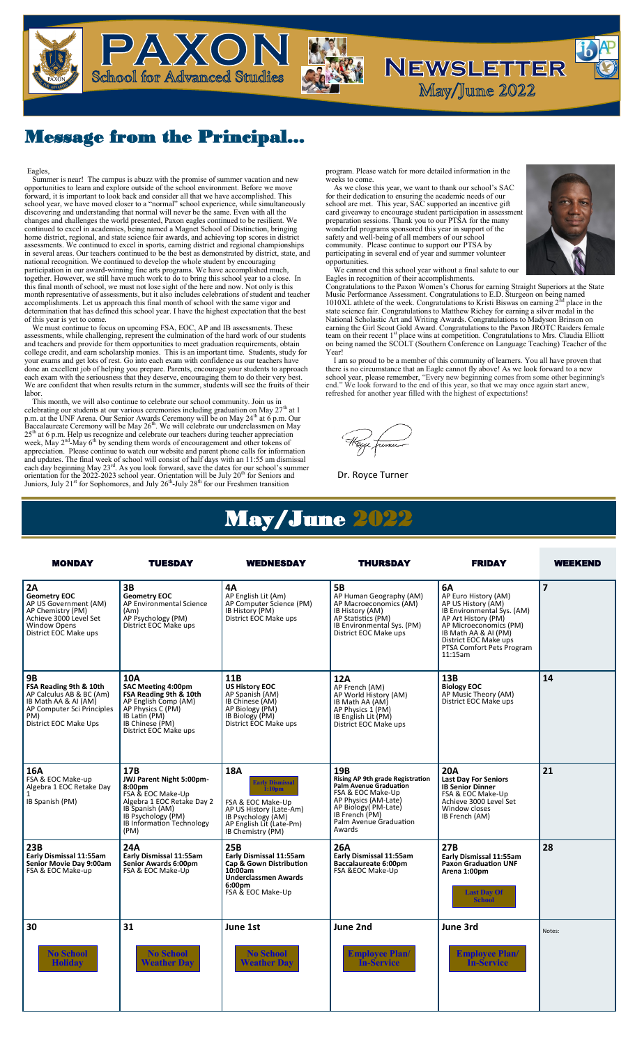

PAXON

**School for Advanced Studies** 

 $\mathbf{c}$ school year, we have moved closer to a "normal" school experience, while simultaneously<br>discovering and understanding that normal will never be the same. Even with all the<br>changes and challenges the world presented, Paxon Eagles, Summer is near! The campus is abuzz with the promise of summer vacation and new opportunities to learn and explore outside of the school environment. Before we move forward, it is important to look back and consider all that we have accomplished. This continued to excel in academics, being named a Magnet School of Distinction, bringing home district, regional, and state science fair awards, and achieving top scores in district assessments. We continued to excel in sports, earning district and regional championships<br>in several areas. Our teachers continued to be the best as demonstrated by district, state, and<br>national recognition. We continued t participation in our award-winning fine arts programs. We have accomplished much,<br>together. However, we still have much work to do to bring this school year to a close. In<br>this final month of school, we must not lose sight determination that has defined this school year. I have the highest expectation that the best of this year is yet to come.

We must continue to focus on upcoming FSA, EOC, AP and IB assessments. These assessments, while challenging, represent the culmination of the hard work of our students and teachers and provide for them opportunities to meet graduation requirements, obtain college credit, and earn scholarship monies. This is an important time. Students, study for your exams and get lots of rest. Go into each exam with confidence as our teachers have<br>done an excellent job of helping you prepare. Parents, encourage your students to approach<br>each exam with the seriousness that they de We are confident that when results return in the summer, students will see the fruits of their labor.<br>This month, we will also continue to celebrate our school community. Join us in

This month, we will also continue to celebrate our school community. Join us in<br>celebrating our students at our various ceremonies including graduation on May  $27^{\text{th}}$  at 1<br>p.m. at the UNF Arena. Our Senior Awards Cerem week, May 2<sup>nd</sup>-May 6<sup>th</sup> by sending them words of encouragement and other tokens of appreciation. Please continue to watch our website and parent phone calls for information<br>and updates. The final week of school will consist of half days with an 11:55 am dismissal<br>each day beginning May 2<sup>3rd</sup>. As you lo Juniors, July 21<sup>st</sup> for Sophomores, and July 26<sup>th</sup>-July 28<sup>th</sup> for our Freshmen transition

program. Please watch for more detailed information in the weeks to come.

As we close this year, we want to thank our school's SAC for their dedication to ensuring the academic needs of our school are met. This year, SAC supported an incentive gift card giveaway to encourage student participation in assessment preparation sessions. Thank you to our PTSA for the many wonderful programs sponsored this year in support of the safety and well-being of all members of our school community. Please continue to support our PTSA by participating in several end of year and summer volunteer opportunities.

We cannot end this school year without a final salute to our<br>Eagles in recognition of their accomplishments.<br>Congratulations to the Paxon Women's Chorus for earning Straight Superiors at the State<br>Music Performance Assess state science fair. Congratulations to Matthew Richey for earning a silver medal in the National Scholastic Art and Writing Awards. Congratulations to Madyson Brinson on earning the Girl Scout Gold Award. Congratulations to the Paxon JROTC Raiders female team on their recent 1<sup>st</sup> place wins at competition. Congratulations to Mrs. Claudia Elliott on being named the SCOLT (Southern Conference on Language Teaching) Teacher of the Year!

 I am so proud to be a member of this community of learners. You all have proven that there is no circumstance that an Eagle cannot fly above! As we look forward to a new school year, please remember, "Every new beginning comes from some other beginning's end." We look forward to the end of this year, so th

Dr. Royce Turner

## May/June 2022

| <b>MONDAY</b>                                                                                                                                         | TUESDAY                                                                                                                                                                                       | <b>WEDNESDAY</b>                                                                                                                                                                  | THURSDAY                                                                                                                                                                                     | <b>FRIDAY</b>                                                                                                                                                                                                            | <b>WEEKEND</b> |
|-------------------------------------------------------------------------------------------------------------------------------------------------------|-----------------------------------------------------------------------------------------------------------------------------------------------------------------------------------------------|-----------------------------------------------------------------------------------------------------------------------------------------------------------------------------------|----------------------------------------------------------------------------------------------------------------------------------------------------------------------------------------------|--------------------------------------------------------------------------------------------------------------------------------------------------------------------------------------------------------------------------|----------------|
| 2A<br><b>Geometry EOC</b><br>AP US Government (AM)<br>AP Chemistry (PM)<br>Achieve 3000 Level Set<br><b>Window Opens</b><br>District EOC Make ups     | 3В<br><b>Geometry EOC</b><br>AP Environmental Science<br>(Am)<br>AP Psychology (PM)<br>District EOC Make ups                                                                                  | 4А<br>AP English Lit (Am)<br>AP Computer Science (PM)<br>IB History (PM)<br>District EOC Make ups                                                                                 | <b>5B</b><br>AP Human Geography (AM)<br>AP Macroeconomics (AM)<br>IB History (AM)<br>AP Statistics (PM)<br>IB Environmental Sys. (PM)<br>District EOC Make ups                               | 6A<br>AP Euro History (AM)<br>AP US History (AM)<br>IB Environmental Sys. (AM)<br>AP Art History (PM)<br>AP Microeconomics (PM)<br>IB Math AA & AI (PM)<br>District EOC Make ups<br>PTSA Comfort Pets Program<br>11:15am | $\overline{7}$ |
| <b>9B</b><br>FSA Reading 9th & 10th<br>AP Calculus AB & BC (Am)<br>IB Math AA & AI (AM)<br>AP Computer Sci Principles<br>PM)<br>District EOC Make Ups | 10A<br>SAC Meeting 4:00pm<br>FSA Reading 9th & 10th<br>AP English Comp (AM)<br>AP Physics C (PM)<br>IB Latin (PM)<br>IB Chinese (PM)<br>District EOC Make ups                                 | 11B<br><b>US History EOC</b><br>AP Spanish (AM)<br>IB Chinese (AM)<br>AP Biology (PM)<br>IB Biology (PM)<br>District EOC Make ups                                                 | 12A<br>AP French (AM)<br>AP World History (AM)<br>IB Math AA (AM)<br>AP Physics 1 (PM)<br>IB English Lit (PM)<br>District EOC Make ups                                                       | 13B<br><b>Biology EOC</b><br>AP Music Theory (AM)<br>District EOC Make ups                                                                                                                                               | 14             |
| 16A<br>FSA & EOC Make-up<br>Algebra 1 EOC Retake Day<br>1<br>IB Spanish (PM)                                                                          | 17B<br>JWJ Parent Night 5:00pm-<br>8:00 <sub>pm</sub><br>FSA & EOC Make-Up<br>Algebra 1 EOC Retake Day 2<br>IB Spanish (AM)<br>IB Psychology (PM)<br><b>IB Information Technology</b><br>(PM) | <b>18A</b><br><b>Early Dismissal</b><br>i:10 <sub>pm</sub><br>FSA & EOC Make-Up<br>AP US History (Late-Am)<br>IB Psychology (AM)<br>AP English Lit (Late-Pm)<br>IB Chemistry (PM) | 19B<br>Rising AP 9th grade Registration<br>Palm Avenue Graduation<br>FSA & EOC Make-Up<br>AP Physics (AM-Late)<br>AP Biology (PM-Late)<br>IB French (PM)<br>Palm Avenue Graduation<br>Awards | <b>20A</b><br><b>Last Day For Seniors</b><br><b>IB Senior Dinner</b><br>FSA & EOC Make-Up<br>Achieve 3000 Level Set<br>Window closes<br>IB French (AM)                                                                   | 21             |
| 23B<br>Early Dismissal 11:55am<br>Senior Movie Day 9:00am<br>FSA & EOC Make-up                                                                        | 24A<br>Early Dismissal 11:55am<br>Senior Awards 6:00pm<br>FSA & EOC Make-Up                                                                                                                   | <b>25B</b><br>Early Dismissal 11:55am<br>Cap & Gown Distribution<br>10:00am<br><b>Underclassmen Awards</b><br>6:00pm<br>FSA & EOC Make-Up                                         | 26A<br>Early Dismissal 11:55am<br>Baccalaureate 6:00pm<br>FSA &EOC Make-Up                                                                                                                   | 27B<br>Early Dismissal 11:55am<br><b>Paxon Graduation UNF</b><br>Arena 1:00pm<br><b>Last Day Of</b><br><b>School</b>                                                                                                     | 28             |
| 30<br><b>No School</b><br><b>Holiday</b>                                                                                                              | 31<br><b>No School</b><br><b>Weather Dav</b>                                                                                                                                                  | June 1st<br><b>No School</b><br><b>Weather Dav</b>                                                                                                                                | June 2nd<br><b>Employee Plan/</b><br><b>In-Service</b>                                                                                                                                       | June 3rd<br><b>Employee Plan/</b><br><b>In-Service</b>                                                                                                                                                                   | Notes:         |